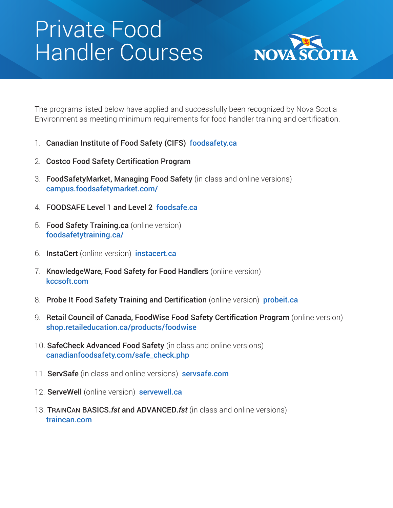## Private Food Handler Courses



The programs listed below have applied and successfully been recognized by Nova Scotia Environment as meeting minimum requirements for food handler training and certification.

- 1. Canadian Institute of Food Safety (CIFS) [foodsafety.ca](https://www.foodsafety.ca/)
- 2. Costco Food Safety Certification Program
- 3. FoodSafetyMarket, Managing Food Safety (in class and online versions) [campus.foodsafetymarket.com/](https://campus.foodsafetymarket.com/en-ca/home)
- 4. FOODSAFE Level 1 and Level 2 [foodsafe.ca](http://www.foodsafe.ca/index.html)
- 5. Food Safety Training.ca (online version) [foodsafetytraining.ca/](https://www.foodsafetytraining.ca/)
- 6. InstaCert (online version) [instacert.ca](https://instacert.ca/)
- 7. KnowledgeWare, Food Safety for Food Handlers (online version) [kccsoft.com](https://www.kccsoft.com/)
- 8. Probe It Food Safety Training and Certification (online version) [probeit.ca](https://probeit.ca/)
- 9. Retail Council of Canada, FoodWise Food Safety Certification Program (online version) [shop.retaileducation.ca/products/foodwise](https://shop.retaileducation.ca/products/foodwise)
- 10. SafeCheck Advanced Food Safety (in class and online versions) [canadianfoodsafety.com/safe\\_check.php](https://www.safecheck1.com/)
- 11. ServSafe (in class and online versions) [servsafe.com](https://www.servsafe.com/)
- 12. ServeWell (online version) [servewell.ca](https://www.servewell.ca/)
- 13. TRAINCAN BASICS.*fst* and ADVANCED.*fst* (in class and online versions) [traincan.com](http://www.traincan.com/)